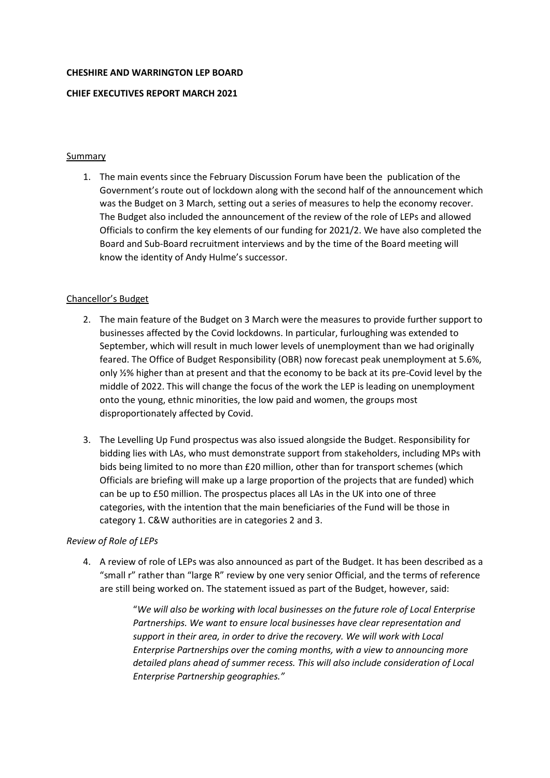#### **CHESHIRE AND WARRINGTON LEP BOARD**

### **CHIEF EXECUTIVES REPORT MARCH 2021**

### Summary

1. The main events since the February Discussion Forum have been the publication of the Government's route out of lockdown along with the second half of the announcement which was the Budget on 3 March, setting out a series of measures to help the economy recover. The Budget also included the announcement of the review of the role of LEPs and allowed Officials to confirm the key elements of our funding for 2021/2. We have also completed the Board and Sub-Board recruitment interviews and by the time of the Board meeting will know the identity of Andy Hulme's successor.

### Chancellor's Budget

- 2. The main feature of the Budget on 3 March were the measures to provide further support to businesses affected by the Covid lockdowns. In particular, furloughing was extended to September, which will result in much lower levels of unemployment than we had originally feared. The Office of Budget Responsibility (OBR) now forecast peak unemployment at 5.6%, only ½% higher than at present and that the economy to be back at its pre-Covid level by the middle of 2022. This will change the focus of the work the LEP is leading on unemployment onto the young, ethnic minorities, the low paid and women, the groups most disproportionately affected by Covid.
- 3. The Levelling Up Fund prospectus was also issued alongside the Budget. Responsibility for bidding lies with LAs, who must demonstrate support from stakeholders, including MPs with bids being limited to no more than £20 million, other than for transport schemes (which Officials are briefing will make up a large proportion of the projects that are funded) which can be up to £50 million. The prospectus places all LAs in the UK into one of three categories, with the intention that the main beneficiaries of the Fund will be those in category 1. C&W authorities are in categories 2 and 3.

### *Review of Role of LEPs*

4. A review of role of LEPs was also announced as part of the Budget. It has been described as a "small r" rather than "large R" review by one very senior Official, and the terms of reference are still being worked on. The statement issued as part of the Budget, however, said:

> "*We will also be working with local businesses on the future role of Local Enterprise Partnerships. We want to ensure local businesses have clear representation and support in their area, in order to drive the recovery. We will work with Local Enterprise Partnerships over the coming months, with a view to announcing more detailed plans ahead of summer recess. This will also include consideration of Local Enterprise Partnership geographies."*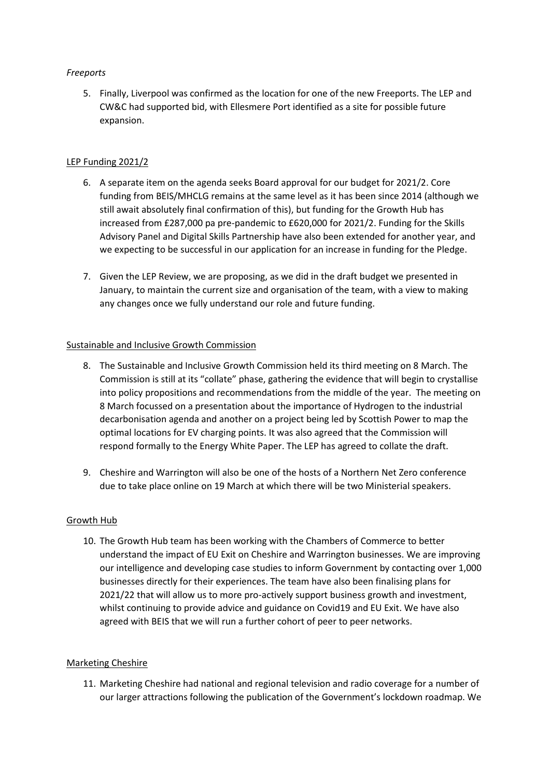# *Freeports*

5. Finally, Liverpool was confirmed as the location for one of the new Freeports. The LEP and CW&C had supported bid, with Ellesmere Port identified as a site for possible future expansion.

## LEP Funding 2021/2

- 6. A separate item on the agenda seeks Board approval for our budget for 2021/2. Core funding from BEIS/MHCLG remains at the same level as it has been since 2014 (although we still await absolutely final confirmation of this), but funding for the Growth Hub has increased from £287,000 pa pre-pandemic to £620,000 for 2021/2. Funding for the Skills Advisory Panel and Digital Skills Partnership have also been extended for another year, and we expecting to be successful in our application for an increase in funding for the Pledge.
- 7. Given the LEP Review, we are proposing, as we did in the draft budget we presented in January, to maintain the current size and organisation of the team, with a view to making any changes once we fully understand our role and future funding.

## Sustainable and Inclusive Growth Commission

- 8. The Sustainable and Inclusive Growth Commission held its third meeting on 8 March. The Commission is still at its "collate" phase, gathering the evidence that will begin to crystallise into policy propositions and recommendations from the middle of the year. The meeting on 8 March focussed on a presentation about the importance of Hydrogen to the industrial decarbonisation agenda and another on a project being led by Scottish Power to map the optimal locations for EV charging points. It was also agreed that the Commission will respond formally to the Energy White Paper. The LEP has agreed to collate the draft.
- 9. Cheshire and Warrington will also be one of the hosts of a Northern Net Zero conference due to take place online on 19 March at which there will be two Ministerial speakers.

### Growth Hub

10. The Growth Hub team has been working with the Chambers of Commerce to better understand the impact of EU Exit on Cheshire and Warrington businesses. We are improving our intelligence and developing case studies to inform Government by contacting over 1,000 businesses directly for their experiences. The team have also been finalising plans for 2021/22 that will allow us to more pro-actively support business growth and investment, whilst continuing to provide advice and guidance on Covid19 and EU Exit. We have also agreed with BEIS that we will run a further cohort of peer to peer networks.

### Marketing Cheshire

11. Marketing Cheshire had national and regional television and radio coverage for a number of our larger attractions following the publication of the Government's lockdown roadmap. We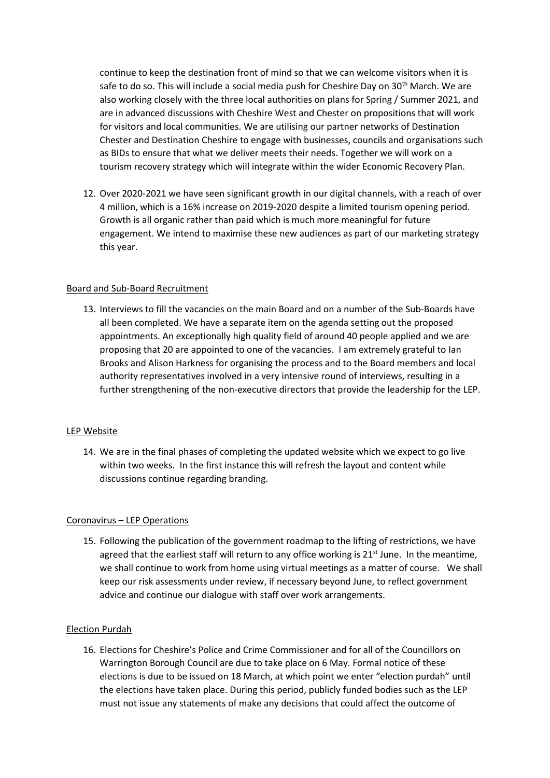continue to keep the destination front of mind so that we can welcome visitors when it is safe to do so. This will include a social media push for Cheshire Day on 30<sup>th</sup> March. We are also working closely with the three local authorities on plans for Spring / Summer 2021, and are in advanced discussions with Cheshire West and Chester on propositions that will work for visitors and local communities. We are utilising our partner networks of Destination Chester and Destination Cheshire to engage with businesses, councils and organisations such as BIDs to ensure that what we deliver meets their needs. Together we will work on a tourism recovery strategy which will integrate within the wider Economic Recovery Plan.

12. Over 2020-2021 we have seen significant growth in our digital channels, with a reach of over 4 million, which is a 16% increase on 2019-2020 despite a limited tourism opening period. Growth is all organic rather than paid which is much more meaningful for future engagement. We intend to maximise these new audiences as part of our marketing strategy this year.

### Board and Sub-Board Recruitment

13. Interviews to fill the vacancies on the main Board and on a number of the Sub-Boards have all been completed. We have a separate item on the agenda setting out the proposed appointments. An exceptionally high quality field of around 40 people applied and we are proposing that 20 are appointed to one of the vacancies. I am extremely grateful to Ian Brooks and Alison Harkness for organising the process and to the Board members and local authority representatives involved in a very intensive round of interviews, resulting in a further strengthening of the non-executive directors that provide the leadership for the LEP.

### LEP Website

14. We are in the final phases of completing the updated website which we expect to go live within two weeks. In the first instance this will refresh the layout and content while discussions continue regarding branding.

### Coronavirus – LEP Operations

15. Following the publication of the government roadmap to the lifting of restrictions, we have agreed that the earliest staff will return to any office working is  $21<sup>st</sup>$  June. In the meantime, we shall continue to work from home using virtual meetings as a matter of course. We shall keep our risk assessments under review, if necessary beyond June, to reflect government advice and continue our dialogue with staff over work arrangements.

### Election Purdah

16. Elections for Cheshire's Police and Crime Commissioner and for all of the Councillors on Warrington Borough Council are due to take place on 6 May. Formal notice of these elections is due to be issued on 18 March, at which point we enter "election purdah" until the elections have taken place. During this period, publicly funded bodies such as the LEP must not issue any statements of make any decisions that could affect the outcome of